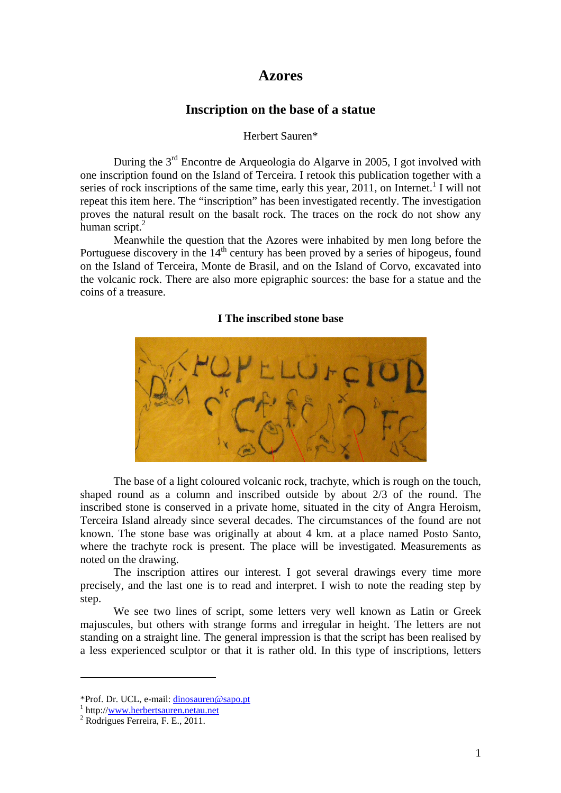## **Azores**

## **Inscription on the base of a statue**

#### Herbert Sauren\*

During the 3rd Encontre de Arqueologia do Algarve in 2005, I got involved with one inscription found on the Island of Terceira. I retook this publication together with a series of rock inscriptions of the same time, early this year,  $2011$ , on Internet.<sup>1</sup> I will not repeat this item here. The "inscription" has been investigated recently. The investigation proves the natural result on the basalt rock. The traces on the rock do not show any human script.<sup>2</sup>

Meanwhile the question that the Azores were inhabited by men long before the Portuguese discovery in the  $14<sup>th</sup>$  century has been proved by a series of hipogeus, found on the Island of Terceira, Monte de Brasil, and on the Island of Corvo, excavated into the volcanic rock. There are also more epigraphic sources: the base for a statue and the coins of a treasure.

#### **I The inscribed stone base**



The base of a light coloured volcanic rock, trachyte, which is rough on the touch, shaped round as a column and inscribed outside by about 2/3 of the round. The inscribed stone is conserved in a private home, situated in the city of Angra Heroism, Terceira Island already since several decades. The circumstances of the found are not known. The stone base was originally at about 4 km. at a place named Posto Santo, where the trachyte rock is present. The place will be investigated. Measurements as noted on the drawing.

The inscription attires our interest. I got several drawings every time more precisely, and the last one is to read and interpret. I wish to note the reading step by step.

 We see two lines of script, some letters very well known as Latin or Greek majuscules, but others with strange forms and irregular in height. The letters are not standing on a straight line. The general impression is that the script has been realised by a less experienced sculptor or that it is rather old. In this type of inscriptions, letters

<sup>\*</sup>Prof. Dr. UCL, e-mail: dinosauren@sapo.pt

<sup>&</sup>lt;sup>1</sup> http://www.herbertsauren.netau.net

<sup>&</sup>lt;sup>2</sup> Rodrigues Ferreira, F. E., 2011.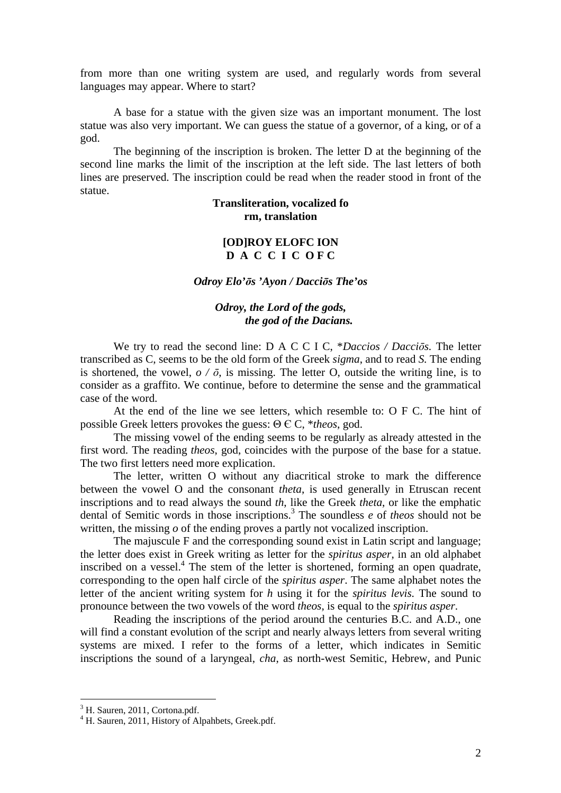from more than one writing system are used, and regularly words from several languages may appear. Where to start?

 A base for a statue with the given size was an important monument. The lost statue was also very important. We can guess the statue of a governor, of a king, or of a god.

 The beginning of the inscription is broken. The letter D at the beginning of the second line marks the limit of the inscription at the left side. The last letters of both lines are preserved. The inscription could be read when the reader stood in front of the statue.

### **Transliteration, vocalized fo rm, translation**

## **[OD]ROY ELOFC ION**  D A C C I C OF C

*Odroy Elo'*ō*s 'Ayon / Dacci*ō*s The'os*

### *Odroy, the Lord of the gods, the god of the Dacians.*

 We try to read the second line: D A C C I C, \**Daccios / Dacci*ō*s.* The letter transcribed as C, seems to be the old form of the Greek *sigma*, and to read *S.* The ending is shortened, the vowel,  $o / \bar{o}$ , is missing. The letter O, outside the writing line, is to consider as a graffito. We continue, before to determine the sense and the grammatical case of the word.

 At the end of the line we see letters, which resemble to: O F C. The hint of possible Greek letters provokes the guess: Θ Є C, \**theos*, god.

 The missing vowel of the ending seems to be regularly as already attested in the first word. The reading *theos*, god, coincides with the purpose of the base for a statue. The two first letters need more explication.

 The letter, written O without any diacritical stroke to mark the difference between the vowel O and the consonant *theta*, is used generally in Etruscan recent inscriptions and to read always the sound *th*, like the Greek *theta*, or like the emphatic dental of Semitic words in those inscriptions.<sup>3</sup> The soundless *e* of *theos* should not be written, the missing *o* of the ending proves a partly not vocalized inscription.

 The majuscule F and the corresponding sound exist in Latin script and language; the letter does exist in Greek writing as letter for the *spiritus asper*, in an old alphabet inscribed on a vessel.<sup>4</sup> The stem of the letter is shortened, forming an open quadrate, corresponding to the open half circle of the *spiritus asper*. The same alphabet notes the letter of the ancient writing system for *h* using it for the *spiritus levis.* The sound to pronounce between the two vowels of the word *theos*, is equal to the *spiritus asper*.

 Reading the inscriptions of the period around the centuries B.C. and A.D., one will find a constant evolution of the script and nearly always letters from several writing systems are mixed. I refer to the forms of a letter, which indicates in Semitic inscriptions the sound of a laryngeal, *cha*, as north-west Semitic, Hebrew, and Punic

<sup>&</sup>lt;sup>3</sup> H. Sauren, 2011, Cortona.pdf.

<sup>4</sup> H. Sauren, 2011, History of Alpahbets, Greek.pdf.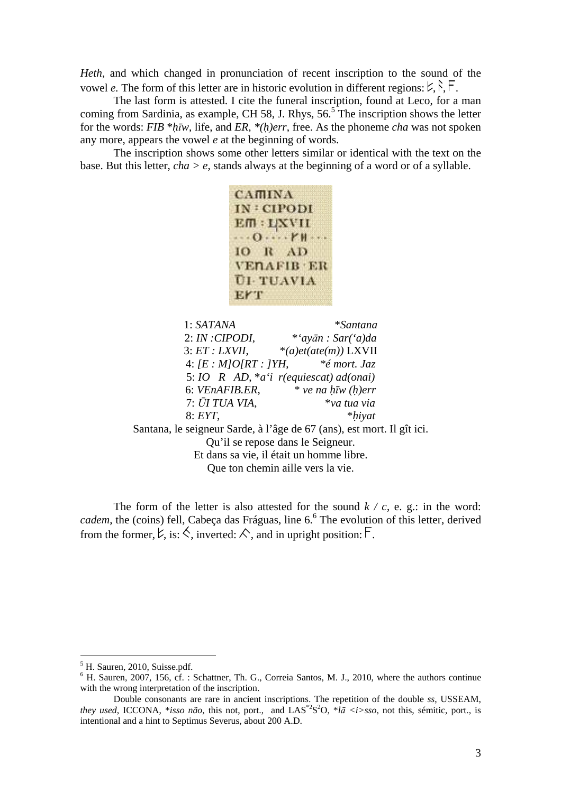*Heth*, and which changed in pronunciation of recent inscription to the sound of the vowel *e*. The form of this letter are in historic evolution in different regions:  $\forall$ ,  $\land$ ,  $\vdash$ .

The last form is attested. I cite the funeral inscription, found at Leco, for a man coming from Sardinia, as example, CH 58, J. Rhys,  $56<sup>5</sup>$  The inscription shows the letter for the words: *FIB* \**hiw*, life, and *ER*, \**(h)err*, free. As the phoneme *cha* was not spoken any more, appears the vowel *e* at the beginning of words.

The inscription shows some other letters similar or identical with the text on the base. But this letter, *cha > e*, stands always at the beginning of a word or of a syllable.

```
CAMINA
IN: CIPODI
EM: UXVII
\cdots 0 \cdots r_{\mathsf{H}} \cdotsIO R AD
VENAFIB ER
UI-TUAVIA
EFT
```
1: *SATANA* \**Santana* 2: *IN :CIPODI*, \**'ay*ā*n : Sar('a)da* 3: *ET : LXVII*, \**(a)et(ate(m))* LXVII 4: *[E : M]O[RT : ]YH*, *\*é mort. Jaz* 5: *IO R AD*, \**a'i r(equiescat) ad(onai)* 6: *VEnAFIB.ER*, \* *ve na h*- $\bar{w}$  (h)err 7: Ū*I TUA VIA*, \**va tua via* 8: *EYT*, \**hiyat* Santana, le seigneur Sarde, à l'âge de 67 (ans), est mort. Il gît ici. Qu'il se repose dans le Seigneur. Et dans sa vie, il était un homme libre. Que ton chemin aille vers la vie.

The form of the letter is also attested for the sound  $k / c$ , e. g.: in the word: cadem, the (coins) fell, Cabeça das Fráguas, line 6.<sup>6</sup> The evolution of this letter, derived from the former,  $\forall$ , is:  $\Diamond$ , inverted:  $\Diamond$ , and in upright position:  $\Box$ .

<sup>&</sup>lt;sup>5</sup> H. Sauren, 2010, Suisse.pdf.

<sup>&</sup>lt;sup>6</sup> H. Sauren, 2007, 156, cf. : Schattner, Th. G., Correia Santos, M. J., 2010, where the authors continue with the wrong interpretation of the inscription.

Double consonants are rare in ancient inscriptions. The repetition of the double *ss*, USSEAM, *they used*, ICCONA, \**isso não*, this not, port., and LAS\*2S <sup>2</sup>O, \**l*ā *<i>sso*, not this, sémitic, port., is intentional and a hint to Septimus Severus, about 200 A.D.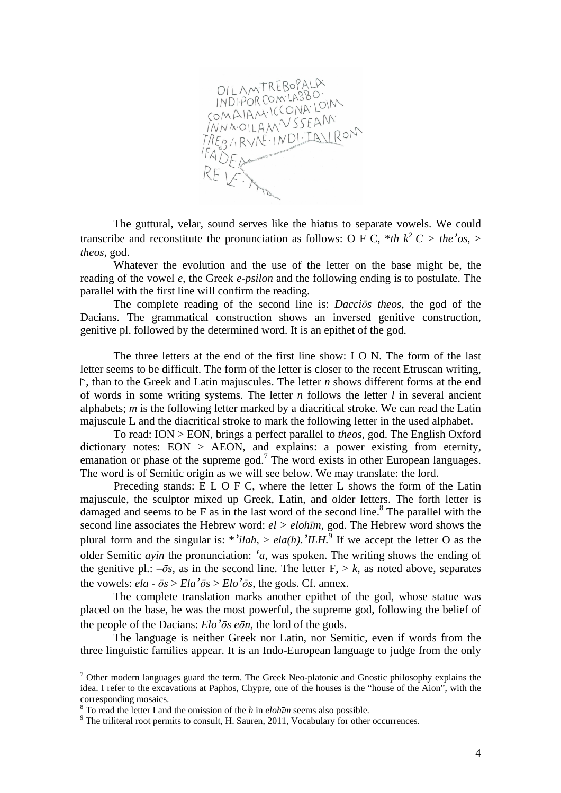

The guttural, velar, sound serves like the hiatus to separate vowels. We could transcribe and reconstitute the pronunciation as follows: O F C, \**th*  $k^2 C >$  *the*<sup>'</sup>*os*, > *theos*, god.

Whatever the evolution and the use of the letter on the base might be, the reading of the vowel *e*, the Greek *e-psilon* and the following ending is to postulate. The parallel with the first line will confirm the reading.

 The complete reading of the second line is: *Dacci*ō*s theos*, the god of the Dacians. The grammatical construction shows an inversed genitive construction, genitive pl. followed by the determined word. It is an epithet of the god.

 The three letters at the end of the first line show: I O N. The form of the last letter seems to be difficult. The form of the letter is closer to the recent Etruscan writing, , than to the Greek and Latin majuscules. The letter *n* shows different forms at the end of words in some writing systems. The letter *n* follows the letter *l* in several ancient alphabets; *m* is the following letter marked by a diacritical stroke. We can read the Latin majuscule L and the diacritical stroke to mark the following letter in the used alphabet.

To read: ION > EON, brings a perfect parallel to *theos*, god. The English Oxford dictionary notes:  $EON > AEON$ , and explains: a power existing from eternity, emanation or phase of the supreme god.<sup>7</sup> The word exists in other European languages. The word is of Semitic origin as we will see below. We may translate: the lord.

 Preceding stands: E L O F C, where the letter L shows the form of the Latin majuscule, the sculptor mixed up Greek, Latin, and older letters. The forth letter is damaged and seems to be  $F$  as in the last word of the second line.<sup>8</sup> The parallel with the second line associates the Hebrew word: *el > eloh*ī*m*, god. The Hebrew word shows the plural form and the singular is: \*'*ilah*, >  $ela(h)$ .'*ILH*.<sup>9</sup> If we accept the letter O as the older Semitic *ayin* the pronunciation: *'a*, was spoken. The writing shows the ending of the genitive pl.:  $-\bar{\sigma}$ *s*, as in the second line. The letter F,  $> k$ , as noted above, separates the vowels:  $ela - \bar{a}s > Ela' \bar{a}s > Elo' \bar{a}s$ , the gods. Cf. annex.

 The complete translation marks another epithet of the god, whose statue was placed on the base, he was the most powerful, the supreme god, following the belief of the people of the Dacians: *Elo'*ō*s e*ō*n*, the lord of the gods.

 The language is neither Greek nor Latin, nor Semitic, even if words from the three linguistic families appear. It is an Indo-European language to judge from the only

 $<sup>7</sup>$  Other modern languages guard the term. The Greek Neo-platonic and Gnostic philosophy explains the</sup> idea. I refer to the excavations at Paphos, Chypre, one of the houses is the "house of the Aion", with the corresponding mosaics.

<sup>8</sup> To read the letter I and the omission of the *h* in *eloh*ī*m* seems also possible.

 $9$  The triliteral root permits to consult, H. Sauren, 2011, Vocabulary for other occurrences.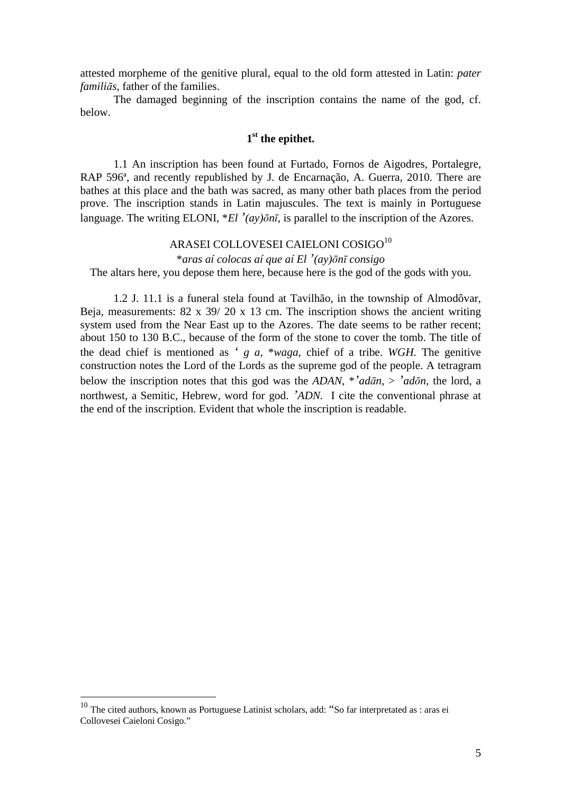attested morpheme of the genitive plural, equal to the old form attested in Latin: *pater famili*ā*s*, father of the families.

 The damaged beginning of the inscription contains the name of the god, cf. below.

## **1 st the epithet.**

 1.1 An inscription has been found at Furtado, Fornos de Aigodres, Portalegre, RAP 596ª, and recently republished by J. de Encarnação, A. Guerra, 2010. There are bathes at this place and the bath was sacred, as many other bath places from the period prove. The inscription stands in Latin majuscules. The text is mainly in Portuguese language. The writing ELONI, \**El '(ay)*ō*n*ī, is parallel to the inscription of the Azores.

# ARASEI COLLOVESEI CAIELONI COSIGO<sup>10</sup>

\**aras aí colocas aí que aí El '(ay)*ō*n*ī *consigo* 

The altars here, you depose them here, because here is the god of the gods with you.

 1.2 J. 11.1 is a funeral stela found at Tavilhão, in the township of Almodôvar, Beja, measurements: 82 x 39/ 20 x 13 cm. The inscription shows the ancient writing system used from the Near East up to the Azores. The date seems to be rather recent; about 150 to 130 B.C., because of the form of the stone to cover the tomb. The title of the dead chief is mentioned as *' g a*, \**waga*, chief of a tribe. *WGH.* The genitive construction notes the Lord of the Lords as the supreme god of the people. A tetragram below the inscription notes that this god was the *ADAN*, \*'*adān*, > '*adōn*, the lord, a northwest, a Semitic, Hebrew, word for god. *'ADN.* I cite the conventional phrase at the end of the inscription. Evident that whole the inscription is readable.

 $10$  The cited authors, known as Portuguese Latinist scholars, add: "So far interpretated as : aras ei Collovesei Caieloni Cosigo."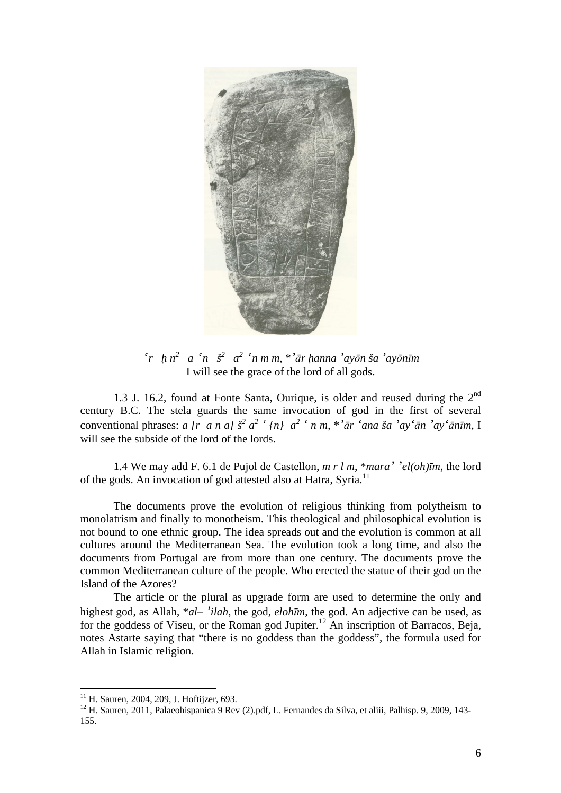

 *r h n 2 a n š<sup>2</sup> a 2 n m m*, \**'*ā*r hanna 'ay*ō*n ša 'ay*ō*n*ī*m* I will see the grace of the lord of all gods.

1.3 J. 16.2, found at Fonte Santa, Ourique, is older and reused during the 2<sup>nd</sup> century B.C. The stela guards the same invocation of god in the first of several conventional phrases: a [r a n a]  $\check{s}^2$  a<sup>2</sup> ' {n} a<sup>2</sup> ' n m, \*'ār 'ana ša 'ay'ān 'ay'ānīm, I will see the subside of the lord of the lords.

 1.4 We may add F. 6.1 de Pujol de Castellon, *m r l m*, \**mara' 'el(oh)*ī*m*, the lord of the gods. An invocation of god attested also at Hatra, Syria.<sup>11</sup>

 The documents prove the evolution of religious thinking from polytheism to monolatrism and finally to monotheism. This theological and philosophical evolution is not bound to one ethnic group. The idea spreads out and the evolution is common at all cultures around the Mediterranean Sea. The evolution took a long time, and also the documents from Portugal are from more than one century. The documents prove the common Mediterranean culture of the people. Who erected the statue of their god on the Island of the Azores?

 The article or the plural as upgrade form are used to determine the only and highest god, as Allah, \**al– 'ilah*, the god, *eloh*ī*m*, the god. An adjective can be used, as for the goddess of Viseu, or the Roman god Jupiter.<sup>12</sup> An inscription of Barracos, Beja, notes Astarte saying that "there is no goddess than the goddess", the formula used for Allah in Islamic religion.

<sup>&</sup>lt;sup>11</sup> H. Sauren, 2004, 209, J. Hoftijzer, 693.

<sup>&</sup>lt;sup>12</sup> H. Sauren, 2011, Palaeohispanica 9 Rev (2).pdf, L. Fernandes da Silva, et aliii, Palhisp. 9, 2009, 143-155.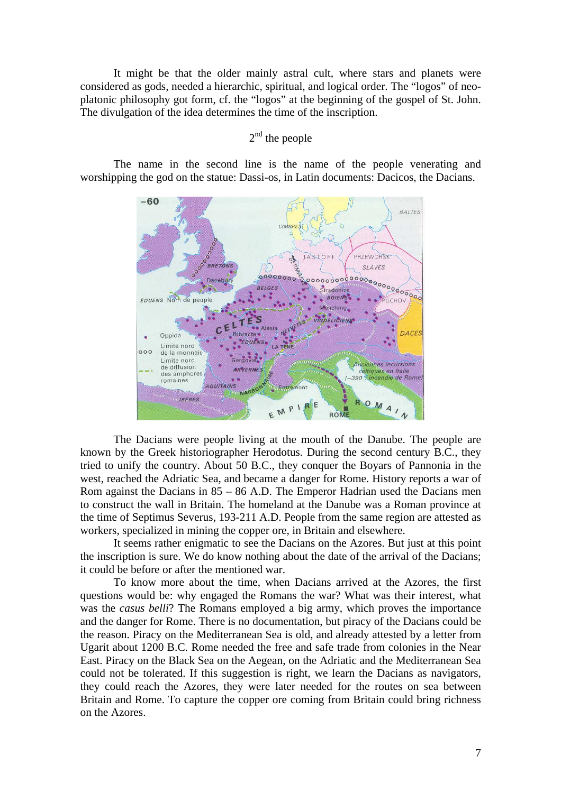It might be that the older mainly astral cult, where stars and planets were considered as gods, needed a hierarchic, spiritual, and logical order. The "logos" of neoplatonic philosophy got form, cf. the "logos" at the beginning of the gospel of St. John. The divulgation of the idea determines the time of the inscription.

## $2<sup>nd</sup>$  the people

 The name in the second line is the name of the people venerating and worshipping the god on the statue: Dassi-os, in Latin documents: Dacicos, the Dacians.



 The Dacians were people living at the mouth of the Danube. The people are known by the Greek historiographer Herodotus. During the second century B.C., they tried to unify the country. About 50 B.C., they conquer the Boyars of Pannonia in the west, reached the Adriatic Sea, and became a danger for Rome. History reports a war of Rom against the Dacians in 85 – 86 A.D. The Emperor Hadrian used the Dacians men to construct the wall in Britain. The homeland at the Danube was a Roman province at the time of Septimus Severus, 193-211 A.D. People from the same region are attested as workers, specialized in mining the copper ore, in Britain and elsewhere.

It seems rather enigmatic to see the Dacians on the Azores. But just at this point the inscription is sure. We do know nothing about the date of the arrival of the Dacians; it could be before or after the mentioned war.

 To know more about the time, when Dacians arrived at the Azores, the first questions would be: why engaged the Romans the war? What was their interest, what was the *casus belli*? The Romans employed a big army, which proves the importance and the danger for Rome. There is no documentation, but piracy of the Dacians could be the reason. Piracy on the Mediterranean Sea is old, and already attested by a letter from Ugarit about 1200 B.C. Rome needed the free and safe trade from colonies in the Near East. Piracy on the Black Sea on the Aegean, on the Adriatic and the Mediterranean Sea could not be tolerated. If this suggestion is right, we learn the Dacians as navigators, they could reach the Azores, they were later needed for the routes on sea between Britain and Rome. To capture the copper ore coming from Britain could bring richness on the Azores.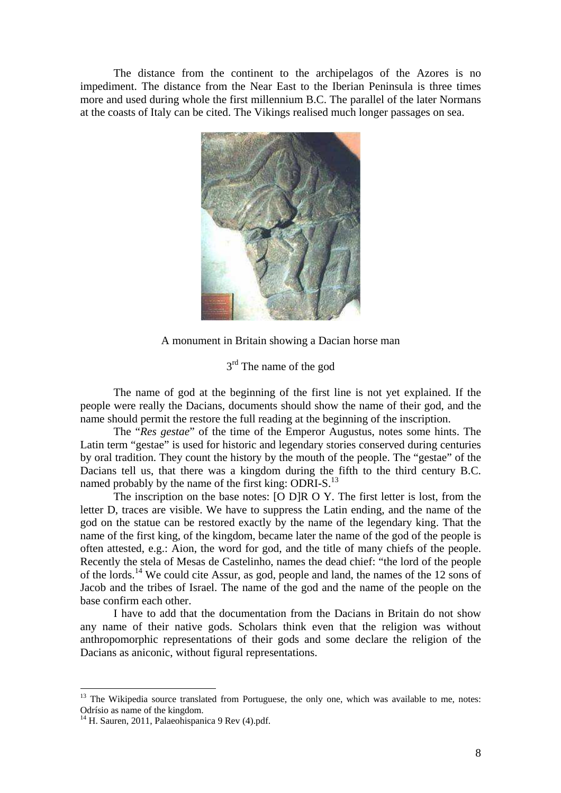The distance from the continent to the archipelagos of the Azores is no impediment. The distance from the Near East to the Iberian Peninsula is three times more and used during whole the first millennium B.C. The parallel of the later Normans at the coasts of Italy can be cited. The Vikings realised much longer passages on sea.



A monument in Britain showing a Dacian horse man

## 3<sup>rd</sup> The name of the god

 The name of god at the beginning of the first line is not yet explained. If the people were really the Dacians, documents should show the name of their god, and the name should permit the restore the full reading at the beginning of the inscription.

 The "*Res gestae*" of the time of the Emperor Augustus, notes some hints. The Latin term "gestae" is used for historic and legendary stories conserved during centuries by oral tradition. They count the history by the mouth of the people. The "gestae" of the Dacians tell us, that there was a kingdom during the fifth to the third century B.C. named probably by the name of the first king: ODRI-S.<sup>13</sup>

 The inscription on the base notes: [O D]R O Y. The first letter is lost, from the letter D, traces are visible. We have to suppress the Latin ending, and the name of the god on the statue can be restored exactly by the name of the legendary king. That the name of the first king, of the kingdom, became later the name of the god of the people is often attested, e.g.: Aion, the word for god, and the title of many chiefs of the people. Recently the stela of Mesas de Castelinho, names the dead chief: "the lord of the people of the lords.<sup>14</sup> We could cite Assur, as god, people and land, the names of the 12 sons of Jacob and the tribes of Israel. The name of the god and the name of the people on the base confirm each other.

 I have to add that the documentation from the Dacians in Britain do not show any name of their native gods. Scholars think even that the religion was without anthropomorphic representations of their gods and some declare the religion of the Dacians as aniconic, without figural representations.

<sup>&</sup>lt;sup>13</sup> The Wikipedia source translated from Portuguese, the only one, which was available to me, notes: Odrísio as name of the kingdom.

 $14$  H. Sauren, 2011, Palaeohispanica 9 Rev (4).pdf.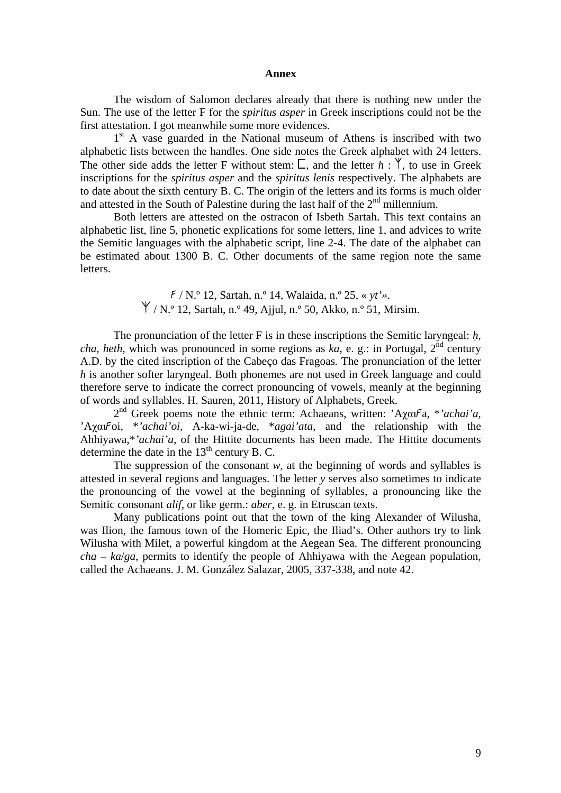#### **Annex**

 The wisdom of Salomon declares already that there is nothing new under the Sun. The use of the letter F for the *spiritus asper* in Greek inscriptions could not be the first attestation. I got meanwhile some more evidences.

1<sup>st</sup> A vase guarded in the National museum of Athens is inscribed with two alphabetic lists between the handles. One side notes the Greek alphabet with 24 letters. The other side adds the letter F without stem:  $\Box$ , and the letter  $h : \mathbb{Y}$ , to use in Greek inscriptions for the *spiritus asper* and the *spiritus lenis* respectively. The alphabets are to date about the sixth century B. C. The origin of the letters and its forms is much older and attested in the South of Palestine during the last half of the  $2<sup>nd</sup>$  millennium.

 Both letters are attested on the ostracon of Isbeth Sartah. This text contains an alphabetic list, line 5, phonetic explications for some letters, line 1, and advices to write the Semitic languages with the alphabetic script, line 2-4. The date of the alphabet can be estimated about 1300 B. C. Other documents of the same region note the same letters.

> / N.º 12, Sartah, n.º 14, Walaida, n.º 25, « *yt'»*.  $\forall$  / N.º 12, Sartah, n.º 49, Ajjul, n.º 50, Akko, n.º 51, Mirsim.

 The pronunciation of the letter F is in these inscriptions the Semitic laryngeal: *h*, *cha*, *heth*, which was pronounced in some regions as  $k\hat{a}$ , e. g.: in Portugal,  $2^{nd}$  century A.D. by the cited inscription of the Cabeço das Fragoas*.* The pronunciation of the letter *h* is another softer laryngeal. Both phonemes are not used in Greek language and could therefore serve to indicate the correct pronouncing of vowels, meanly at the beginning of words and syllables. H. Sauren, 2011, History of Alphabets, Greek.

2<sup>nd</sup> Greek poems note the ethnic term: Achaeans, written: 'Αχαι<sup>γ</sup>a, \*'achai'a, 'Aχαι Foi, \*'achai'oi, A-ka-wi-ja-de, \*agai'ata, and the relationship with the Ahhiyawa,\**'achai'a*, of the Hittite documents has been made. The Hittite documents determine the date in the  $13<sup>th</sup>$  century B. C.

The suppression of the consonant  $w$ , at the beginning of words and syllables is attested in several regions and languages. The letter *y* serves also sometimes to indicate the pronouncing of the vowel at the beginning of syllables, a pronouncing like the Semitic consonant *alif*, or like germ.: *aber*, e. g. in Etruscan texts.

Many publications point out that the town of the king Alexander of Wilusha, was Ilion, the famous town of the Homeric Epic, the Iliad's. Other authors try to link Wilusha with Milet, a powerful kingdom at the Aegean Sea. The different pronouncing *cha – ka*/*ga*, permits to identify the people of Ahhiyawa with the Aegean population, called the Achaeans. J. M. González Salazar, 2005, 337-338, and note 42.